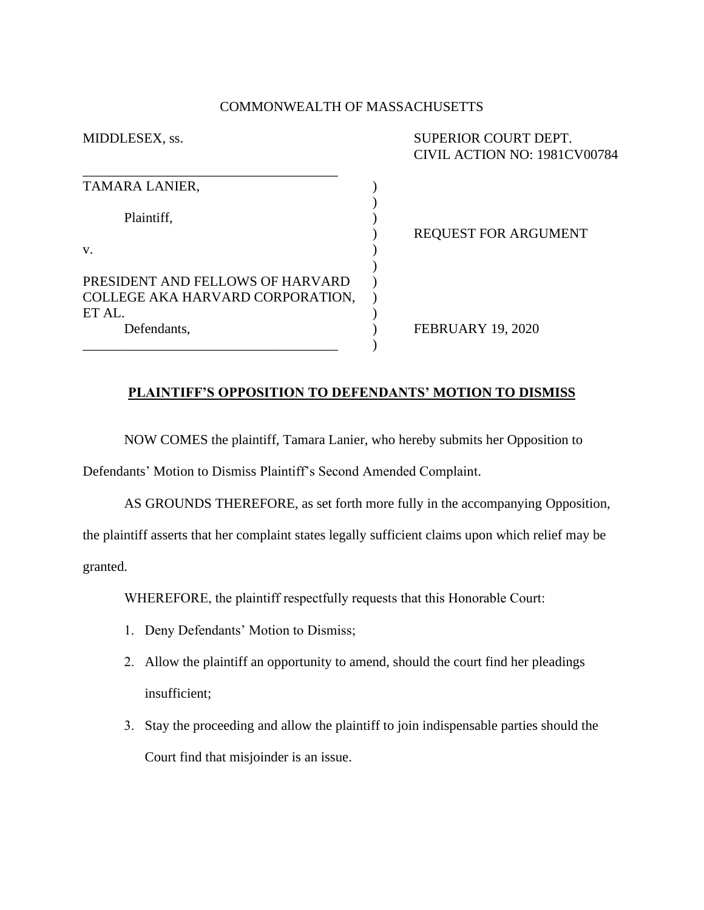### COMMONWEALTH OF MASSACHUSETTS

| MIDDLESEX, ss.                   | SUPERIOR COURT DEPT.<br>CIVIL ACTION NO: 1981CV00784 |
|----------------------------------|------------------------------------------------------|
| TAMARA LANIER,                   |                                                      |
| Plaintiff,                       | <b>REQUEST FOR ARGUMENT</b>                          |
| V.                               |                                                      |
| PRESIDENT AND FELLOWS OF HARVARD |                                                      |
| COLLEGE AKA HARVARD CORPORATION, |                                                      |
| ET AL.                           |                                                      |
| Defendants,                      | <b>FEBRUARY 19, 2020</b>                             |
|                                  |                                                      |

## **PLAINTIFF'S OPPOSITION TO DEFENDANTS' MOTION TO DISMISS**

NOW COMES the plaintiff, Tamara Lanier, who hereby submits her Opposition to

Defendants' Motion to Dismiss Plaintiff's Second Amended Complaint.

AS GROUNDS THEREFORE, as set forth more fully in the accompanying Opposition, the plaintiff asserts that her complaint states legally sufficient claims upon which relief may be granted.

WHEREFORE, the plaintiff respectfully requests that this Honorable Court:

- 1. Deny Defendants' Motion to Dismiss;
- 2. Allow the plaintiff an opportunity to amend, should the court find her pleadings insufficient;
- 3. Stay the proceeding and allow the plaintiff to join indispensable parties should the Court find that misjoinder is an issue.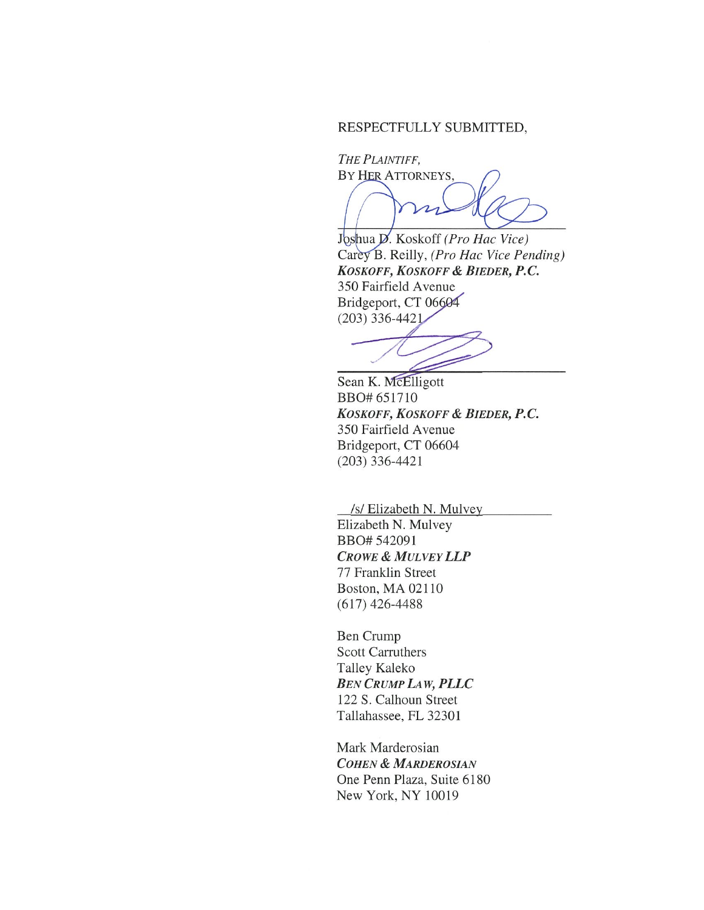### RESPECTFULLY SUBMITTED,

THE PLAINTIFF, BY HER ATTORNEYS,

 $\boldsymbol{\mathcal{L}}$ 

Joshua D. Koskoff (Pro Hac Vice) Carey B. Reilly, (Pro Hac Vice Pending) KOSKOFF, KOSKOFF & BIEDER, P.C. 350 Fairfield Avenue Bridgeport, CT 06604  $(203)$  336-4421

Sean K. McElligott BBO# 651710 KOSKOFF, KOSKOFF & BIEDER, P.C. 350 Fairfield Avenue Bridgeport, CT 06604  $(203)$  336-4421

/s/ Elizabeth N. Mulvey

Elizabeth N. Mulvey BBO# 542091 **CROWE & MULVEY LLP** 77 Franklin Street Boston, MA 02110  $(617)$  426-4488

**Ben Crump Scott Carruthers** Talley Kaleko **BEN CRUMP LAW, PLLC** 122 S. Calhoun Street Tallahassee, FL 32301

Mark Marderosian **COHEN & MARDEROSIAN** One Penn Plaza, Suite 6180 New York, NY 10019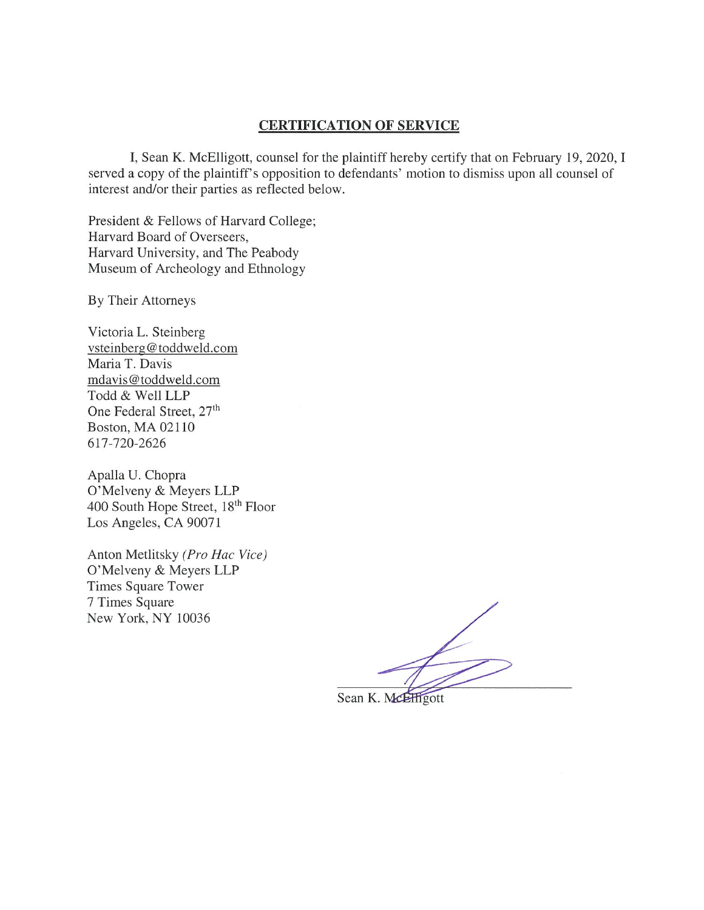### **CERTIFICATION OF SERVICE**

I, Sean K. McElligott, counsel for the plaintiff hereby certify that on February 19, 2020, I served a copy of the plaintiff's opposition to defendants' motion to dismiss upon all counsel of interest and/or their parties as reflected below.

President & Fellows of Harvard College; Harvard Board of Overseers, Harvard University, and The Peabody Museum of Archeology and Ethnology

By Their Attorneys

Victoria L. Steinberg vsteinberg@toddweld.com Maria T. Davis mdavis@toddweld.com Todd & Well LLP One Federal Street, 27<sup>th</sup> Boston, MA 02110 617-720-2626

Apalla U. Chopra O'Melveny & Meyers LLP 400 South Hope Street, 18th Floor Los Angeles, CA 90071

Anton Metlitsky (Pro Hac Vice) O'Melveny & Meyers LLP Times Square Tower 7 Times Square New York, NY 10036

Sean K. McElligott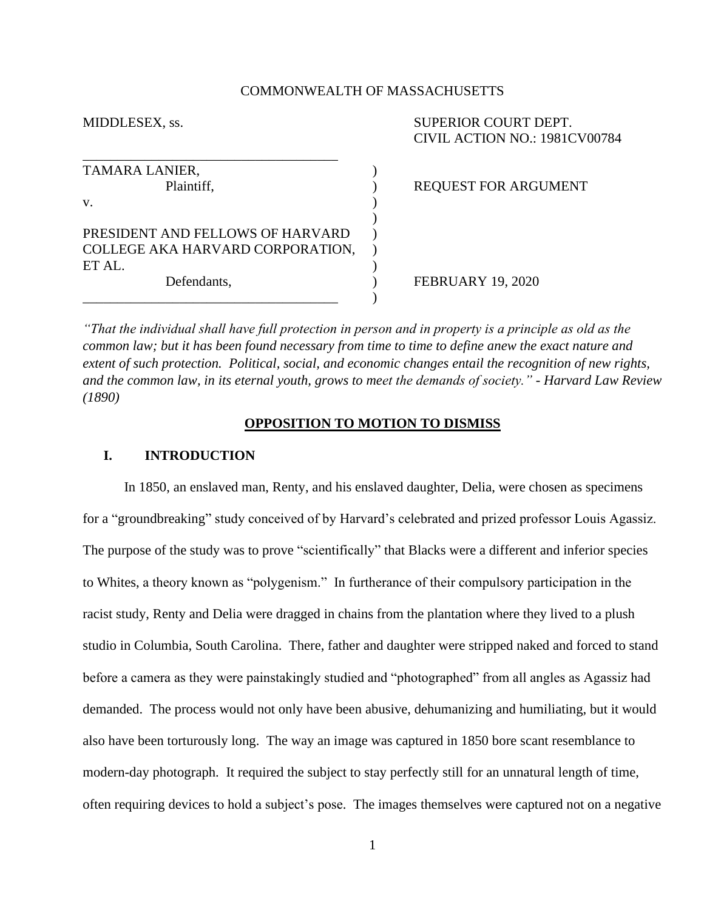#### COMMONWEALTH OF MASSACHUSETTS

\_\_\_\_\_\_\_\_\_\_\_\_\_\_\_\_\_\_\_\_\_\_\_\_\_\_\_\_\_\_\_\_\_\_\_\_\_ TAMARA LANIER, Plaintiff,  $REOUEST FOR ARGUMENT$  $\mathbf v$ .  $\qquad \qquad \qquad$  ) ) PRESIDENT AND FELLOWS OF HARVARD ) COLLEGE AKA HARVARD CORPORATION, ) ET AL. Defendants,  $\qquad \qquad$  FEBRUARY 19, 2020  $\qquad\qquad\qquad\qquad)$ 

MIDDLESEX, ss. SUPERIOR COURT DEPT. CIVIL ACTION NO.: 1981CV00784

*"That the individual shall have full protection in person and in property is a principle as old as the common law; but it has been found necessary from time to time to define anew the exact nature and extent of such protection. Political, social, and economic changes entail the recognition of new rights, and the common law, in its eternal youth, grows to meet the demands of society." - Harvard Law Review (1890)*

#### **OPPOSITION TO MOTION TO DISMISS**

### **I. INTRODUCTION**

In 1850, an enslaved man, Renty, and his enslaved daughter, Delia, were chosen as specimens for a "groundbreaking" study conceived of by Harvard's celebrated and prized professor Louis Agassiz. The purpose of the study was to prove "scientifically" that Blacks were a different and inferior species to Whites, a theory known as "polygenism." In furtherance of their compulsory participation in the racist study, Renty and Delia were dragged in chains from the plantation where they lived to a plush studio in Columbia, South Carolina. There, father and daughter were stripped naked and forced to stand before a camera as they were painstakingly studied and "photographed" from all angles as Agassiz had demanded. The process would not only have been abusive, dehumanizing and humiliating, but it would also have been torturously long. The way an image was captured in 1850 bore scant resemblance to modern-day photograph. It required the subject to stay perfectly still for an unnatural length of time, often requiring devices to hold a subject's pose. The images themselves were captured not on a negative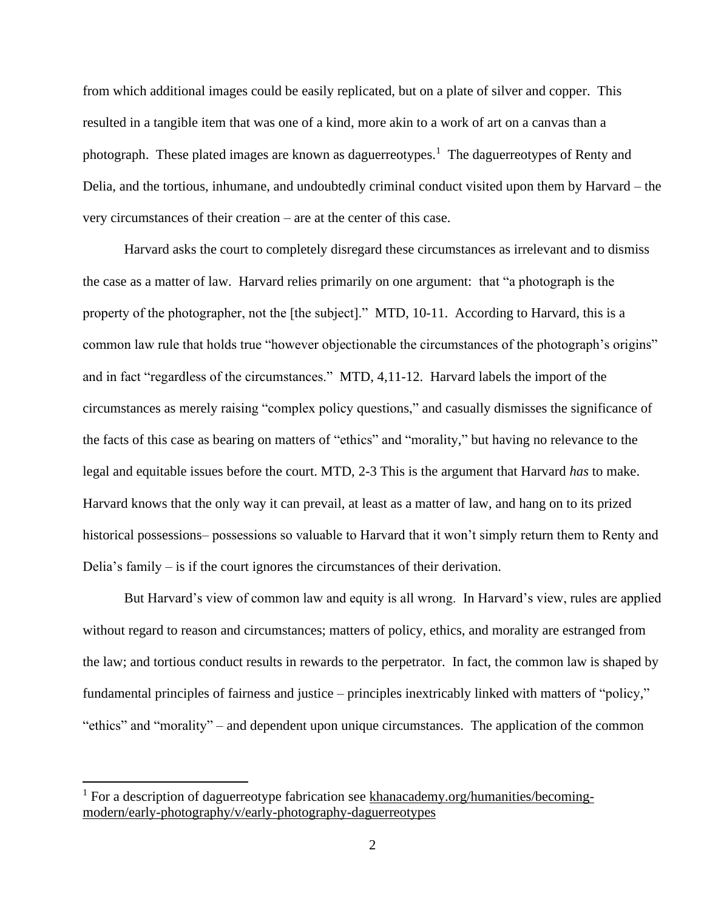from which additional images could be easily replicated, but on a plate of silver and copper. This resulted in a tangible item that was one of a kind, more akin to a work of art on a canvas than a photograph. These plated images are known as daguerreotypes.<sup>1</sup> The daguerreotypes of Renty and Delia, and the tortious, inhumane, and undoubtedly criminal conduct visited upon them by Harvard – the very circumstances of their creation – are at the center of this case.

Harvard asks the court to completely disregard these circumstances as irrelevant and to dismiss the case as a matter of law. Harvard relies primarily on one argument: that "a photograph is the property of the photographer, not the [the subject]." MTD, 10-11. According to Harvard, this is a common law rule that holds true "however objectionable the circumstances of the photograph's origins" and in fact "regardless of the circumstances." MTD, 4,11-12. Harvard labels the import of the circumstances as merely raising "complex policy questions," and casually dismisses the significance of the facts of this case as bearing on matters of "ethics" and "morality," but having no relevance to the legal and equitable issues before the court. MTD, 2-3 This is the argument that Harvard *has* to make. Harvard knows that the only way it can prevail, at least as a matter of law, and hang on to its prized historical possessions– possessions so valuable to Harvard that it won't simply return them to Renty and Delia's family – is if the court ignores the circumstances of their derivation.

But Harvard's view of common law and equity is all wrong. In Harvard's view, rules are applied without regard to reason and circumstances; matters of policy, ethics, and morality are estranged from the law; and tortious conduct results in rewards to the perpetrator. In fact, the common law is shaped by fundamental principles of fairness and justice – principles inextricably linked with matters of "policy," "ethics" and "morality" – and dependent upon unique circumstances. The application of the common

 $1$  For a description of daguerreotype fabrication see [khanacademy.org/humanities/becoming](https://www.khanacademy.org/humanities/becoming-modern/early-photography/v/early-photography-daguerreotypes)[modern/early-photography/v/early-photography-daguerreotypes](https://www.khanacademy.org/humanities/becoming-modern/early-photography/v/early-photography-daguerreotypes)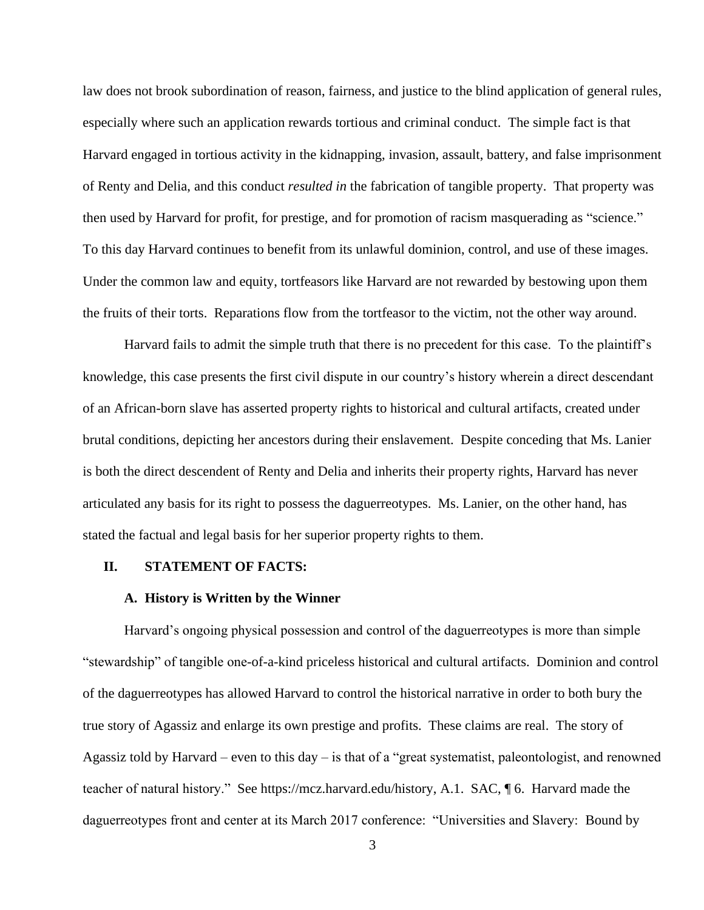law does not brook subordination of reason, fairness, and justice to the blind application of general rules, especially where such an application rewards tortious and criminal conduct. The simple fact is that Harvard engaged in tortious activity in the kidnapping, invasion, assault, battery, and false imprisonment of Renty and Delia, and this conduct *resulted in* the fabrication of tangible property. That property was then used by Harvard for profit, for prestige, and for promotion of racism masquerading as "science." To this day Harvard continues to benefit from its unlawful dominion, control, and use of these images. Under the common law and equity, tortfeasors like Harvard are not rewarded by bestowing upon them the fruits of their torts. Reparations flow from the tortfeasor to the victim, not the other way around.

Harvard fails to admit the simple truth that there is no precedent for this case. To the plaintiff's knowledge, this case presents the first civil dispute in our country's history wherein a direct descendant of an African-born slave has asserted property rights to historical and cultural artifacts, created under brutal conditions, depicting her ancestors during their enslavement. Despite conceding that Ms. Lanier is both the direct descendent of Renty and Delia and inherits their property rights, Harvard has never articulated any basis for its right to possess the daguerreotypes. Ms. Lanier, on the other hand, has stated the factual and legal basis for her superior property rights to them.

### **II. STATEMENT OF FACTS:**

#### **A. History is Written by the Winner**

Harvard's ongoing physical possession and control of the daguerreotypes is more than simple "stewardship" of tangible one-of-a-kind priceless historical and cultural artifacts. Dominion and control of the daguerreotypes has allowed Harvard to control the historical narrative in order to both bury the true story of Agassiz and enlarge its own prestige and profits. These claims are real. The story of Agassiz told by Harvard – even to this day – is that of a "great systematist, paleontologist, and renowned teacher of natural history." See [https://mcz.harvard.edu/history,](https://mcz.harvard.edu/history) A.1. SAC, ¶ 6. Harvard made the daguerreotypes front and center at its March 2017 conference: "Universities and Slavery: Bound by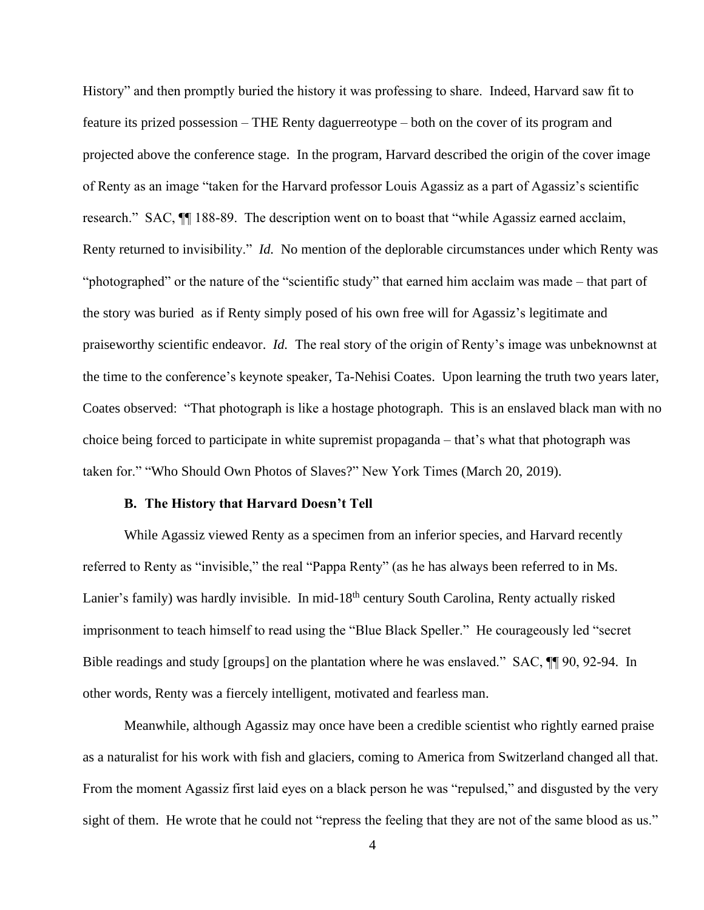History" and then promptly buried the history it was professing to share. Indeed, Harvard saw fit to feature its prized possession – THE Renty daguerreotype – both on the cover of its program and projected above the conference stage. In the program, Harvard described the origin of the cover image of Renty as an image "taken for the Harvard professor Louis Agassiz as a part of Agassiz's scientific research." SAC, ¶¶ 188-89. The description went on to boast that "while Agassiz earned acclaim, Renty returned to invisibility." *Id.* No mention of the deplorable circumstances under which Renty was "photographed" or the nature of the "scientific study" that earned him acclaim was made – that part of the story was buried as if Renty simply posed of his own free will for Agassiz's legitimate and praiseworthy scientific endeavor. *Id.* The real story of the origin of Renty's image was unbeknownst at the time to the conference's keynote speaker, Ta-Nehisi Coates. Upon learning the truth two years later, Coates observed: "That photograph is like a hostage photograph. This is an enslaved black man with no choice being forced to participate in white supremist propaganda – that's what that photograph was taken for." "Who Should Own Photos of Slaves?" New York Times (March 20, 2019).

#### **B. The History that Harvard Doesn't Tell**

While Agassiz viewed Renty as a specimen from an inferior species, and Harvard recently referred to Renty as "invisible," the real "Pappa Renty" (as he has always been referred to in Ms. Lanier's family) was hardly invisible. In mid-18<sup>th</sup> century South Carolina, Renty actually risked imprisonment to teach himself to read using the "Blue Black Speller." He courageously led "secret Bible readings and study [groups] on the plantation where he was enslaved." SAC, ¶¶ 90, 92-94. In other words, Renty was a fiercely intelligent, motivated and fearless man.

Meanwhile, although Agassiz may once have been a credible scientist who rightly earned praise as a naturalist for his work with fish and glaciers, coming to America from Switzerland changed all that. From the moment Agassiz first laid eyes on a black person he was "repulsed," and disgusted by the very sight of them. He wrote that he could not "repress the feeling that they are not of the same blood as us."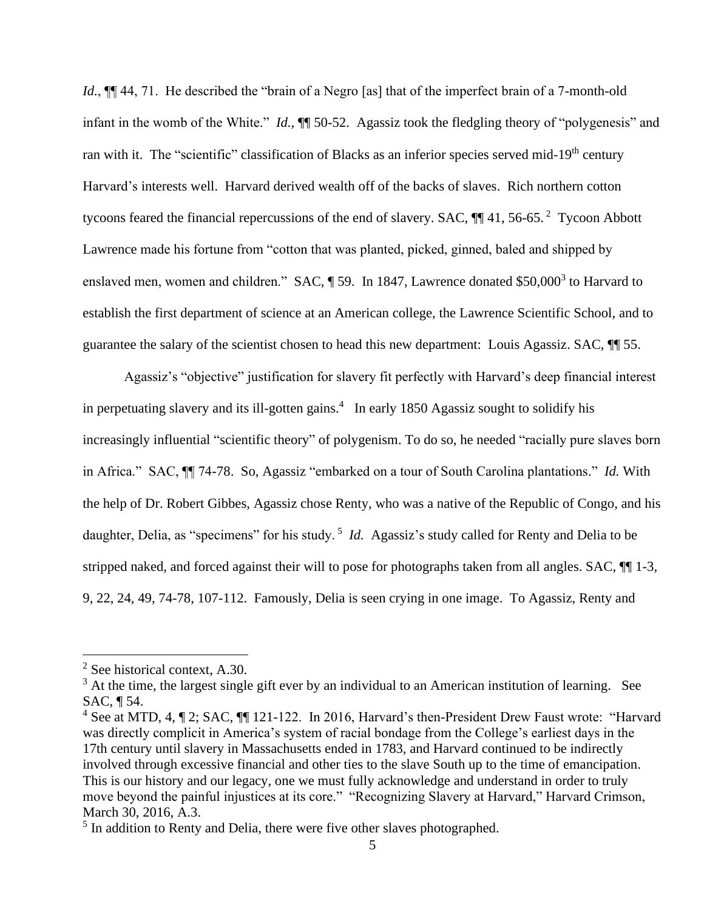*Id.*,  $\P\P$  44, 71. He described the "brain of a Negro [as] that of the imperfect brain of a 7-month-old infant in the womb of the White." *Id.*, ¶¶ 50-52. Agassiz took the fledgling theory of "polygenesis" and ran with it. The "scientific" classification of Blacks as an inferior species served mid-19<sup>th</sup> century Harvard's interests well. Harvard derived wealth off of the backs of slaves. Rich northern cotton tycoons feared the financial repercussions of the end of slavery. SAC,  $\P$  41, 56-65.<sup>2</sup> Tycoon Abbott Lawrence made his fortune from "cotton that was planted, picked, ginned, baled and shipped by enslaved men, women and children." SAC, 159. In 1847, Lawrence donated \$50,000<sup>3</sup> to Harvard to establish the first department of science at an American college, the Lawrence Scientific School, and to guarantee the salary of the scientist chosen to head this new department: Louis Agassiz. SAC, ¶¶ 55.

Agassiz's "objective" justification for slavery fit perfectly with Harvard's deep financial interest in perpetuating slavery and its ill-gotten gains.<sup>4</sup> In early 1850 Agassiz sought to solidify his increasingly influential "scientific theory" of polygenism. To do so, he needed "racially pure slaves born in Africa." SAC, ¶¶ 74-78. So, Agassiz "embarked on a tour of South Carolina plantations." *Id.* With the help of Dr. Robert Gibbes, Agassiz chose Renty, who was a native of the Republic of Congo, and his daughter, Delia, as "specimens" for his study. <sup>5</sup> *Id.* Agassiz's study called for Renty and Delia to be stripped naked, and forced against their will to pose for photographs taken from all angles. SAC, ¶¶ 1-3, 9, 22, 24, 49, 74-78, 107-112. Famously, Delia is seen crying in one image. To Agassiz, Renty and

<sup>2</sup> See historical context, A.30.

<sup>&</sup>lt;sup>3</sup> At the time, the largest single gift ever by an individual to an American institution of learning. See SAC, ¶ 54.

<sup>4</sup> See at MTD, 4, ¶ 2; SAC, ¶¶ 121-122. In 2016, Harvard's then-President Drew Faust wrote: "Harvard was directly complicit in America's system of racial bondage from the College's earliest days in the 17th century until slavery in Massachusetts ended in 1783, and Harvard continued to be indirectly involved through excessive financial and other ties to the slave South up to the time of emancipation. This is our history and our legacy, one we must fully acknowledge and understand in order to truly move beyond the painful injustices at its core." "Recognizing Slavery at Harvard," Harvard Crimson, March 30, 2016, A.3.

<sup>&</sup>lt;sup>5</sup> In addition to Renty and Delia, there were five other slaves photographed.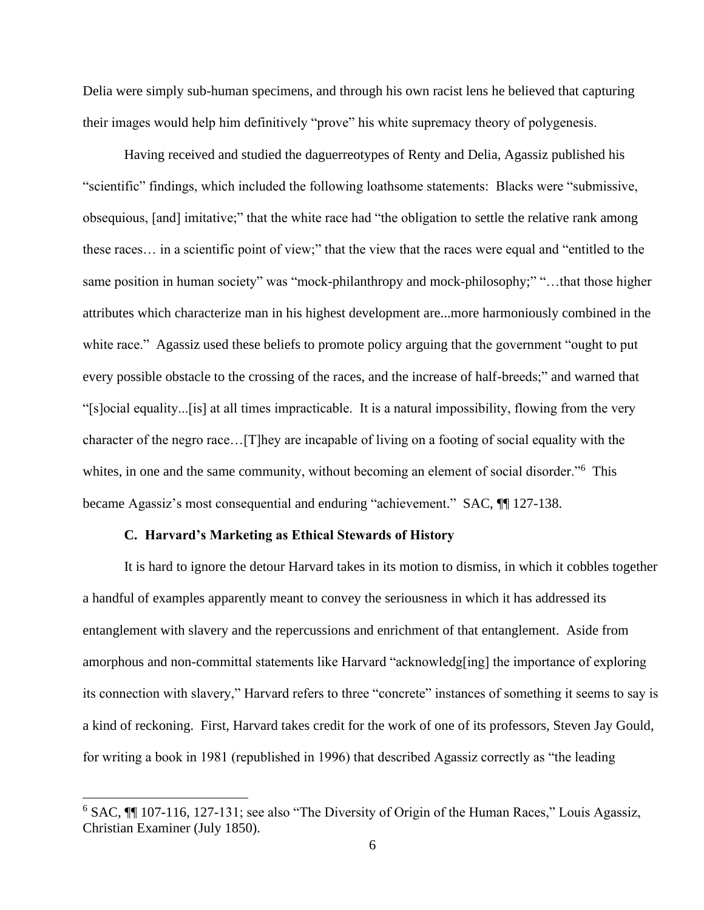Delia were simply sub-human specimens, and through his own racist lens he believed that capturing their images would help him definitively "prove" his white supremacy theory of polygenesis.

Having received and studied the daguerreotypes of Renty and Delia, Agassiz published his "scientific" findings, which included the following loathsome statements: Blacks were "submissive, obsequious, [and] imitative;" that the white race had "the obligation to settle the relative rank among these races… in a scientific point of view;" that the view that the races were equal and "entitled to the same position in human society" was "mock-philanthropy and mock-philosophy;" "…that those higher attributes which characterize man in his highest development are...more harmoniously combined in the white race." Agassiz used these beliefs to promote policy arguing that the government "ought to put every possible obstacle to the crossing of the races, and the increase of half-breeds;" and warned that "[s]ocial equality...[is] at all times impracticable. It is a natural impossibility, flowing from the very character of the negro race…[T]hey are incapable of living on a footing of social equality with the whites, in one and the same community, without becoming an element of social disorder."<sup>6</sup> This became Agassiz's most consequential and enduring "achievement." SAC,  $\P$  127-138.

#### **C. Harvard's Marketing as Ethical Stewards of History**

It is hard to ignore the detour Harvard takes in its motion to dismiss, in which it cobbles together a handful of examples apparently meant to convey the seriousness in which it has addressed its entanglement with slavery and the repercussions and enrichment of that entanglement. Aside from amorphous and non-committal statements like Harvard "acknowledg[ing] the importance of exploring its connection with slavery," Harvard refers to three "concrete" instances of something it seems to say is a kind of reckoning. First, Harvard takes credit for the work of one of its professors, Steven Jay Gould, for writing a book in 1981 (republished in 1996) that described Agassiz correctly as "the leading

<sup>&</sup>lt;sup>6</sup> SAC, <sup>[1]</sup> 107-116, 127-131; see also "The Diversity of Origin of the Human Races," Louis Agassiz, Christian Examiner (July 1850).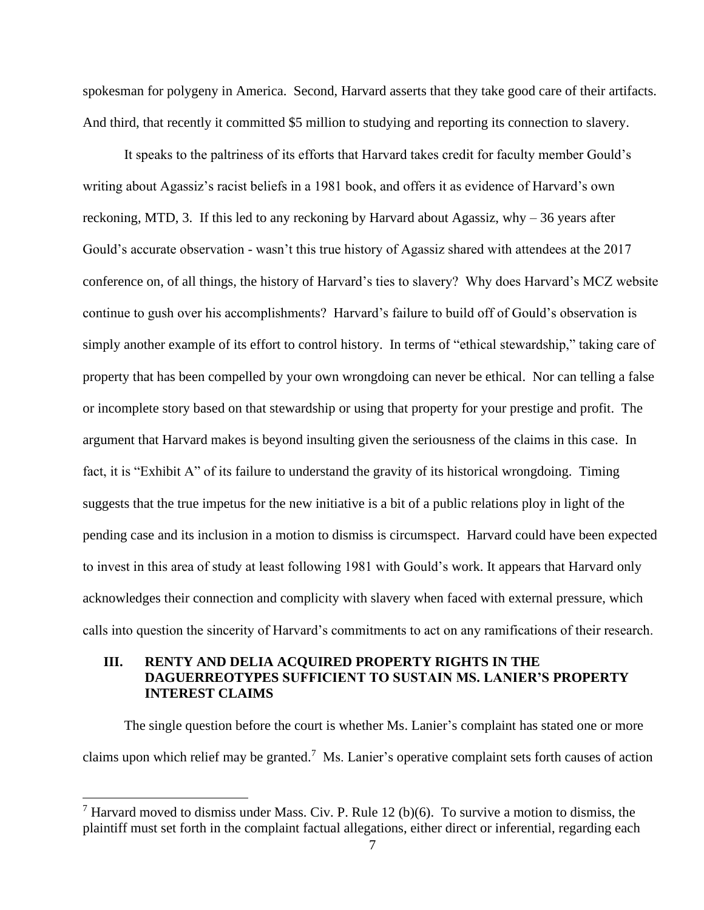spokesman for polygeny in America. Second, Harvard asserts that they take good care of their artifacts. And third, that recently it committed \$5 million to studying and reporting its connection to slavery.

It speaks to the paltriness of its efforts that Harvard takes credit for faculty member Gould's writing about Agassiz's racist beliefs in a 1981 book, and offers it as evidence of Harvard's own reckoning, MTD, 3. If this led to any reckoning by Harvard about Agassiz, why – 36 years after Gould's accurate observation - wasn't this true history of Agassiz shared with attendees at the 2017 conference on, of all things, the history of Harvard's ties to slavery? Why does Harvard's MCZ website continue to gush over his accomplishments? Harvard's failure to build off of Gould's observation is simply another example of its effort to control history. In terms of "ethical stewardship," taking care of property that has been compelled by your own wrongdoing can never be ethical. Nor can telling a false or incomplete story based on that stewardship or using that property for your prestige and profit. The argument that Harvard makes is beyond insulting given the seriousness of the claims in this case. In fact, it is "Exhibit A" of its failure to understand the gravity of its historical wrongdoing. Timing suggests that the true impetus for the new initiative is a bit of a public relations ploy in light of the pending case and its inclusion in a motion to dismiss is circumspect. Harvard could have been expected to invest in this area of study at least following 1981 with Gould's work. It appears that Harvard only acknowledges their connection and complicity with slavery when faced with external pressure, which calls into question the sincerity of Harvard's commitments to act on any ramifications of their research.

## **III. RENTY AND DELIA ACQUIRED PROPERTY RIGHTS IN THE DAGUERREOTYPES SUFFICIENT TO SUSTAIN MS. LANIER'S PROPERTY INTEREST CLAIMS**

The single question before the court is whether Ms. Lanier's complaint has stated one or more claims upon which relief may be granted.<sup>7</sup> Ms. Lanier's operative complaint sets forth causes of action

<sup>&</sup>lt;sup>7</sup> Harvard moved to dismiss under Mass. Civ. P. Rule 12 (b)(6). To survive a motion to dismiss, the plaintiff must set forth in the complaint factual allegations, either direct or inferential, regarding each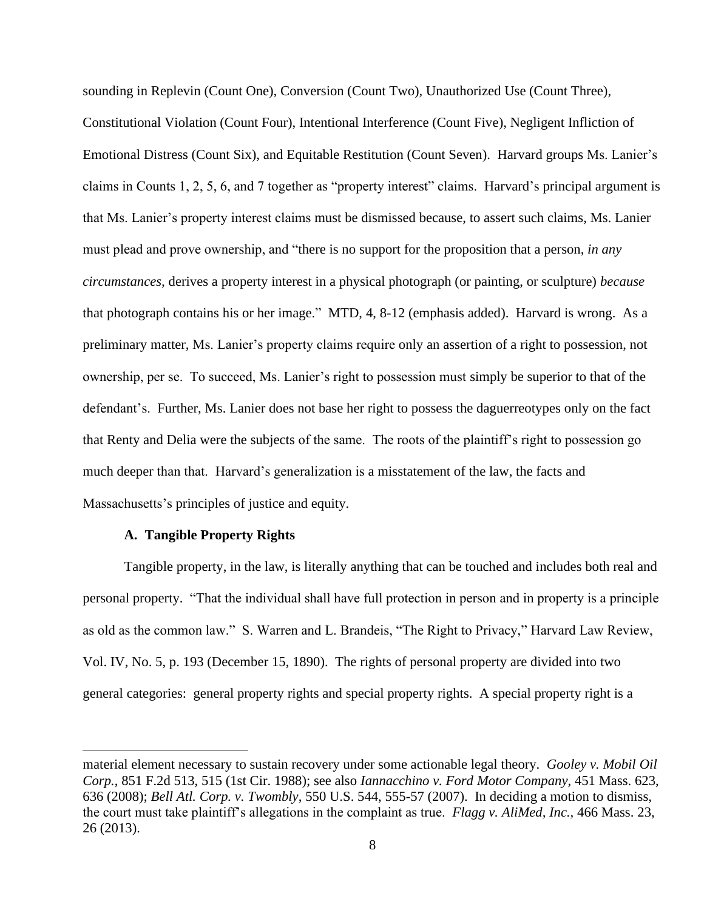sounding in Replevin (Count One), Conversion (Count Two), Unauthorized Use (Count Three), Constitutional Violation (Count Four), Intentional Interference (Count Five), Negligent Infliction of Emotional Distress (Count Six), and Equitable Restitution (Count Seven). Harvard groups Ms. Lanier's claims in Counts 1, 2, 5, 6, and 7 together as "property interest" claims. Harvard's principal argument is that Ms. Lanier's property interest claims must be dismissed because, to assert such claims, Ms. Lanier must plead and prove ownership, and "there is no support for the proposition that a person, *in any circumstances,* derives a property interest in a physical photograph (or painting, or sculpture) *because* that photograph contains his or her image." MTD, 4, 8-12 (emphasis added). Harvard is wrong. As a preliminary matter, Ms. Lanier's property claims require only an assertion of a right to possession, not ownership, per se. To succeed, Ms. Lanier's right to possession must simply be superior to that of the defendant's. Further, Ms. Lanier does not base her right to possess the daguerreotypes only on the fact that Renty and Delia were the subjects of the same. The roots of the plaintiff's right to possession go much deeper than that. Harvard's generalization is a misstatement of the law, the facts and Massachusetts's principles of justice and equity.

### **A. Tangible Property Rights**

Tangible property, in the law, is literally anything that can be touched and includes both real and personal property. "That the individual shall have full protection in person and in property is a principle as old as the common law." S. Warren and L. Brandeis, "The Right to Privacy," Harvard Law Review, Vol. IV, No. 5, p. 193 (December 15, 1890). The rights of personal property are divided into two general categories: general property rights and special property rights. A special property right is a

material element necessary to sustain recovery under some actionable legal theory. *Gooley v. Mobil Oil Corp.*, 851 F.2d 513, 515 (1st Cir. 1988); see also *Iannacchino v. Ford Motor Company*, 451 Mass. 623, 636 (2008); *Bell Atl. Corp. v. Twombly*, 550 U.S. 544, 555-57 (2007). In deciding a motion to dismiss, the court must take plaintiff's allegations in the complaint as true. *Flagg v. AliMed, Inc.,* 466 Mass. 23, 26 (2013).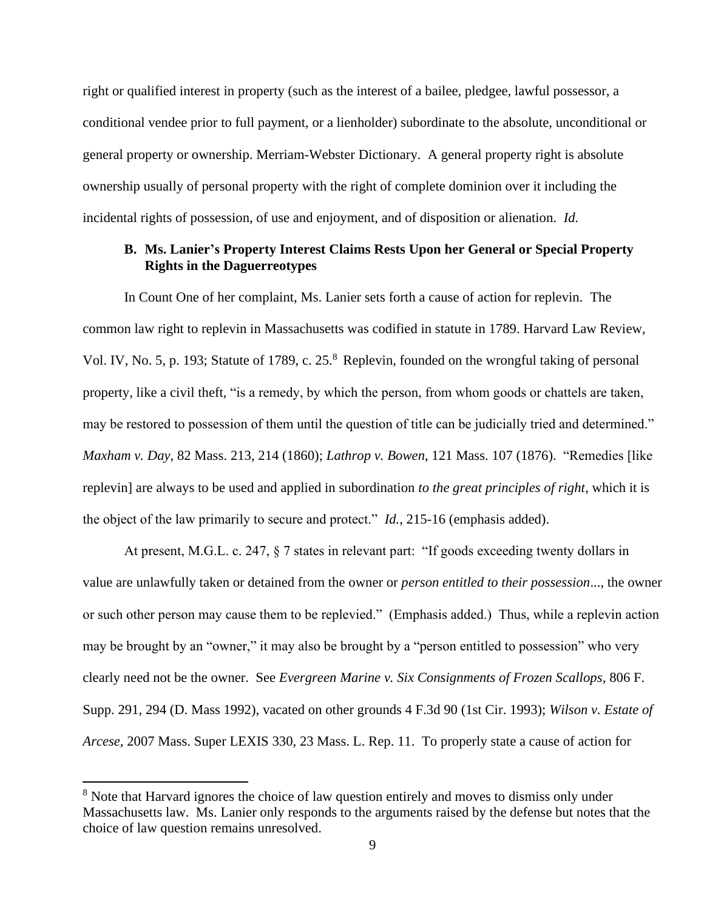right or qualified interest in property (such as the interest of a bailee, pledgee, lawful possessor, a conditional vendee prior to full payment, or a lienholder) subordinate to the absolute, unconditional or general property or ownership. Merriam-Webster Dictionary. A general property right is absolute ownership usually of personal property with the right of complete dominion over it including the incidental rights of possession, of use and enjoyment, and of disposition or alienation. *Id.*

### **B. Ms. Lanier's Property Interest Claims Rests Upon her General or Special Property Rights in the Daguerreotypes**

In Count One of her complaint, Ms. Lanier sets forth a cause of action for replevin. The common law right to replevin in Massachusetts was codified in statute in 1789. Harvard Law Review, Vol. IV, No. 5, p. 193; Statute of 1789, c. 25.<sup>8</sup> Replevin, founded on the wrongful taking of personal property, like a civil theft, "is a remedy, by which the person, from whom goods or chattels are taken, may be restored to possession of them until the question of title can be judicially tried and determined." *Maxham v. Day*, 82 Mass. 213, 214 (1860); *Lathrop v. Bowen*, 121 Mass. 107 (1876). "Remedies [like replevin] are always to be used and applied in subordination *to the great principles of right*, which it is the object of the law primarily to secure and protect." *Id.*, 215-16 (emphasis added).

At present, M.G.L. c. 247, § 7 states in relevant part: "If goods exceeding twenty dollars in value are unlawfully taken or detained from the owner or *person entitled to their possession*..., the owner or such other person may cause them to be replevied." (Emphasis added.) Thus, while a replevin action may be brought by an "owner," it may also be brought by a "person entitled to possession" who very clearly need not be the owner. See *Evergreen Marine v. Six Consignments of Frozen Scallops*, 806 F. Supp. 291, 294 (D. Mass 1992), vacated on other grounds 4 F.3d 90 (1st Cir. 1993); *Wilson v. Estate of Arcese*, 2007 Mass. Super LEXIS 330, 23 Mass. L. Rep. 11. To properly state a cause of action for

<sup>&</sup>lt;sup>8</sup> Note that Harvard ignores the choice of law question entirely and moves to dismiss only under Massachusetts law. Ms. Lanier only responds to the arguments raised by the defense but notes that the choice of law question remains unresolved.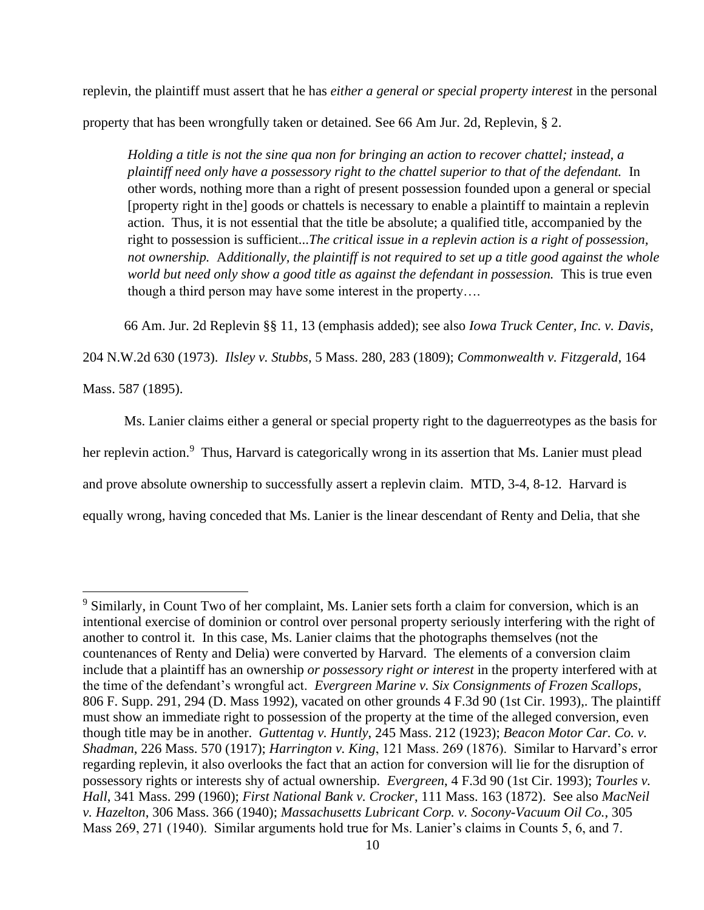replevin, the plaintiff must assert that he has *either a general or special property interest* in the personal property that has been wrongfully taken or detained. See 66 Am Jur. 2d, Replevin, § 2.

*Holding a title is not the sine qua non for bringing an action to recover chattel; instead, a plaintiff need only have a possessory right to the chattel superior to that of the defendant.* In other words, nothing more than a right of present possession founded upon a general or special [property right in the] goods or chattels is necessary to enable a plaintiff to maintain a replevin action. Thus, it is not essential that the title be absolute; a qualified title, accompanied by the right to possession is sufficient...*The critical issue in a replevin action is a right of possession, not ownership.* A*dditionally, the plaintiff is not required to set up a title good against the whole world but need only show a good title as against the defendant in possession.* This is true even though a third person may have some interest in the property….

66 Am. Jur. 2d Replevin §§ 11, 13 (emphasis added); see also *Iowa Truck Center, Inc. v. Davis*,

204 N.W.2d 630 (1973). *Ilsley v. Stubbs*, 5 Mass. 280, 283 (1809); *Commonwealth v. Fitzgerald*, 164

Mass. 587 (1895).

Ms. Lanier claims either a general or special property right to the daguerreotypes as the basis for her replevin action.<sup>9</sup> Thus, Harvard is categorically wrong in its assertion that Ms. Lanier must plead and prove absolute ownership to successfully assert a replevin claim. MTD, 3-4, 8-12. Harvard is equally wrong, having conceded that Ms. Lanier is the linear descendant of Renty and Delia, that she

<sup>&</sup>lt;sup>9</sup> Similarly, in Count Two of her complaint, Ms. Lanier sets forth a claim for conversion, which is an intentional exercise of dominion or control over personal property seriously interfering with the right of another to control it. In this case, Ms. Lanier claims that the photographs themselves (not the countenances of Renty and Delia) were converted by Harvard. The elements of a conversion claim include that a plaintiff has an ownership *or possessory right or interest* in the property interfered with at the time of the defendant's wrongful act. *Evergreen Marine v. Six Consignments of Frozen Scallops*, 806 F. Supp. 291, 294 (D. Mass 1992), vacated on other grounds 4 F.3d 90 (1st Cir. 1993),. The plaintiff must show an immediate right to possession of the property at the time of the alleged conversion, even though title may be in another. *Guttentag v. Huntly*, 245 Mass. 212 (1923); *Beacon Motor Car. Co. v. Shadman*, 226 Mass. 570 (1917); *Harrington v. King*, 121 Mass. 269 (1876). Similar to Harvard's error regarding replevin, it also overlooks the fact that an action for conversion will lie for the disruption of possessory rights or interests shy of actual ownership. *Evergreen*, 4 F.3d 90 (1st Cir. 1993); *Tourles v. Hall*, 341 Mass. 299 (1960); *First National Bank v. Crocker*, 111 Mass. 163 (1872).See also *MacNeil v. Hazelton*, 306 Mass. 366 (1940); *Massachusetts Lubricant Corp. v. Socony-Vacuum Oil Co.*, 305 Mass 269, 271 (1940). Similar arguments hold true for Ms. Lanier's claims in Counts 5, 6, and 7.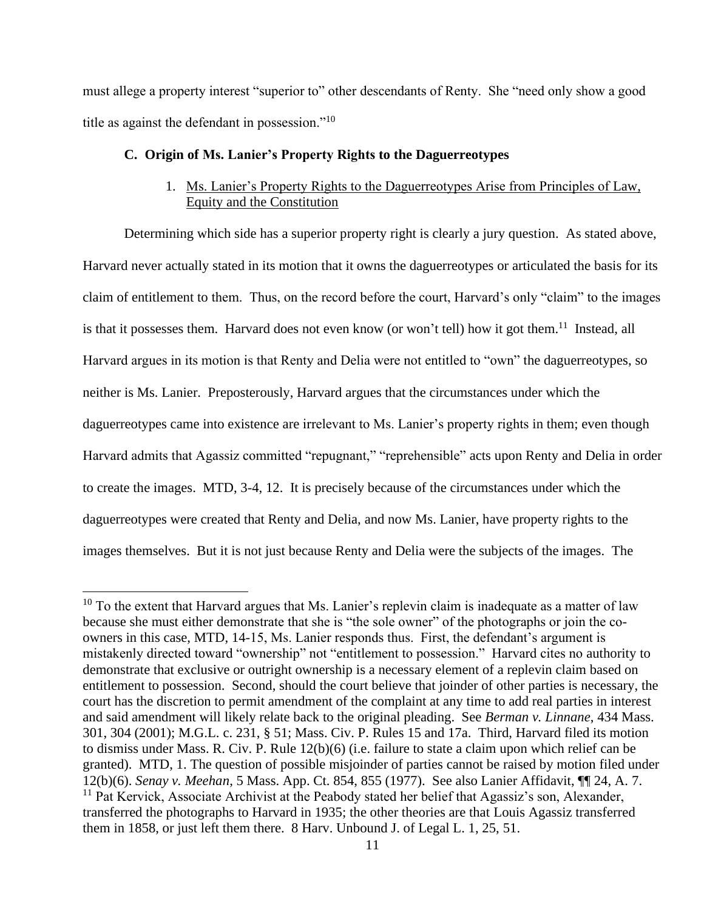must allege a property interest "superior to" other descendants of Renty. She "need only show a good title as against the defendant in possession."<sup>10</sup>

#### **C. Origin of Ms. Lanier's Property Rights to the Daguerreotypes**

# 1. Ms. Lanier's Property Rights to the Daguerreotypes Arise from Principles of Law, Equity and the Constitution

Determining which side has a superior property right is clearly a jury question. As stated above, Harvard never actually stated in its motion that it owns the daguerreotypes or articulated the basis for its claim of entitlement to them. Thus, on the record before the court, Harvard's only "claim" to the images is that it possesses them. Harvard does not even know (or won't tell) how it got them.<sup>11</sup> Instead, all Harvard argues in its motion is that Renty and Delia were not entitled to "own" the daguerreotypes, so neither is Ms. Lanier. Preposterously, Harvard argues that the circumstances under which the daguerreotypes came into existence are irrelevant to Ms. Lanier's property rights in them; even though Harvard admits that Agassiz committed "repugnant," "reprehensible" acts upon Renty and Delia in order to create the images. MTD, 3-4, 12. It is precisely because of the circumstances under which the daguerreotypes were created that Renty and Delia, and now Ms. Lanier, have property rights to the images themselves. But it is not just because Renty and Delia were the subjects of the images. The

 $10$  To the extent that Harvard argues that Ms. Lanier's replevin claim is inadequate as a matter of law because she must either demonstrate that she is "the sole owner" of the photographs or join the coowners in this case, MTD, 14-15, Ms. Lanier responds thus. First, the defendant's argument is mistakenly directed toward "ownership" not "entitlement to possession." Harvard cites no authority to demonstrate that exclusive or outright ownership is a necessary element of a replevin claim based on entitlement to possession. Second, should the court believe that joinder of other parties is necessary, the court has the discretion to permit amendment of the complaint at any time to add real parties in interest and said amendment will likely relate back to the original pleading. See *Berman v. Linnane*, 434 Mass. 301, 304 (2001); M.G.L. c. 231, § 51; Mass. Civ. P. Rules 15 and 17a. Third, Harvard filed its motion to dismiss under Mass. R. Civ. P. Rule 12(b)(6) (i.e. failure to state a claim upon which relief can be granted). MTD, 1. The question of possible misjoinder of parties cannot be raised by motion filed under 12(b)(6). *Senay v. Meehan*, 5 Mass. App. Ct. 854, 855 (1977). See also Lanier Affidavit, ¶¶ 24, A. 7. <sup>11</sup> Pat Kervick, Associate Archivist at the Peabody stated her belief that Agassiz's son, Alexander, transferred the photographs to Harvard in 1935; the other theories are that Louis Agassiz transferred them in 1858, or just left them there. 8 Harv. Unbound J. of Legal L. 1, 25, 51.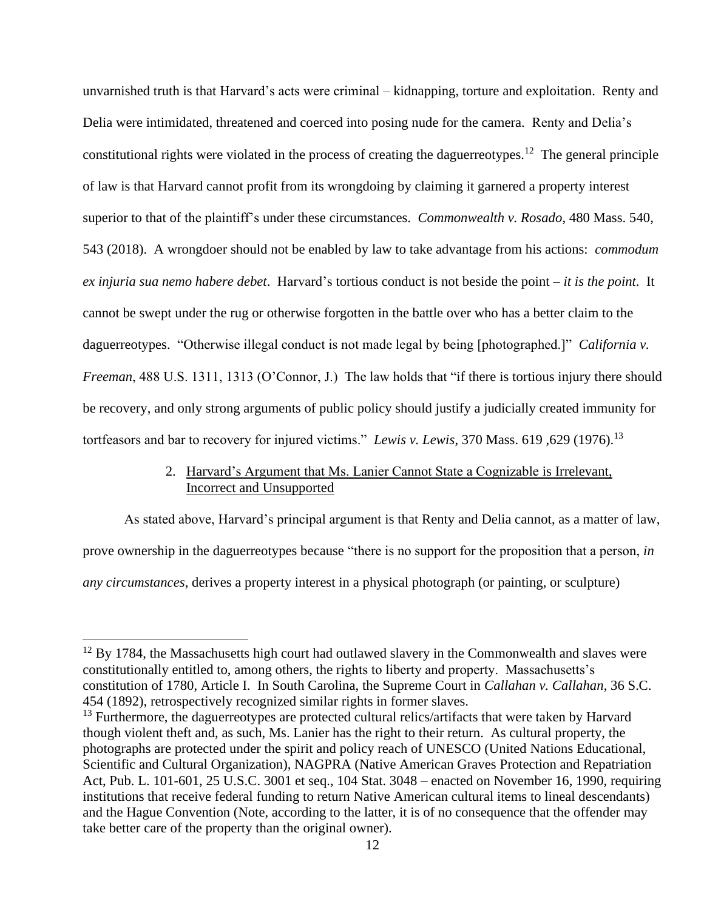unvarnished truth is that Harvard's acts were criminal – kidnapping, torture and exploitation. Renty and Delia were intimidated, threatened and coerced into posing nude for the camera. Renty and Delia's constitutional rights were violated in the process of creating the daguerreotypes.<sup>12</sup> The general principle of law is that Harvard cannot profit from its wrongdoing by claiming it garnered a property interest superior to that of the plaintiff's under these circumstances. *Commonwealth v. Rosado*, 480 Mass. 540, 543 (2018). A wrongdoer should not be enabled by law to take advantage from his actions: *commodum ex injuria sua nemo habere debet*. Harvard's tortious conduct is not beside the point – *it is the point*. It cannot be swept under the rug or otherwise forgotten in the battle over who has a better claim to the daguerreotypes. "Otherwise illegal conduct is not made legal by being [photographed.]" *California v. Freeman*, 488 U.S. 1311, 1313 (O'Connor, J.) The law holds that "if there is tortious injury there should be recovery, and only strong arguments of public policy should justify a judicially created immunity for tortfeasors and bar to recovery for injured victims." *Lewis v. Lewis*, 370 Mass. 619 ,629 (1976).<sup>13</sup>

# 2. Harvard's Argument that Ms. Lanier Cannot State a Cognizable is Irrelevant, Incorrect and Unsupported

As stated above, Harvard's principal argument is that Renty and Delia cannot, as a matter of law, prove ownership in the daguerreotypes because "there is no support for the proposition that a person, *in any circumstances*, derives a property interest in a physical photograph (or painting, or sculpture)

 $12$  By 1784, the Massachusetts high court had outlawed slavery in the Commonwealth and slaves were constitutionally entitled to, among others, the rights to liberty and property. Massachusetts's constitution of 1780, Article I. In South Carolina, the Supreme Court in *Callahan v. Callahan*, 36 S.C. 454 (1892), retrospectively recognized similar rights in former slaves.

<sup>&</sup>lt;sup>13</sup> Furthermore, the daguerreotypes are protected cultural relics/artifacts that were taken by Harvard though violent theft and, as such, Ms. Lanier has the right to their return. As cultural property, the photographs are protected under the spirit and policy reach of UNESCO (United Nations Educational, Scientific and Cultural Organization), NAGPRA (Native American Graves Protection and Repatriation Act, Pub. L. 101-601, 25 U.S.C. 3001 et seq., 104 Stat. 3048 – enacted on November 16, 1990, requiring institutions that receive federal funding to return Native American cultural items to lineal descendants) and the Hague Convention (Note, according to the latter, it is of no consequence that the offender may take better care of the property than the original owner).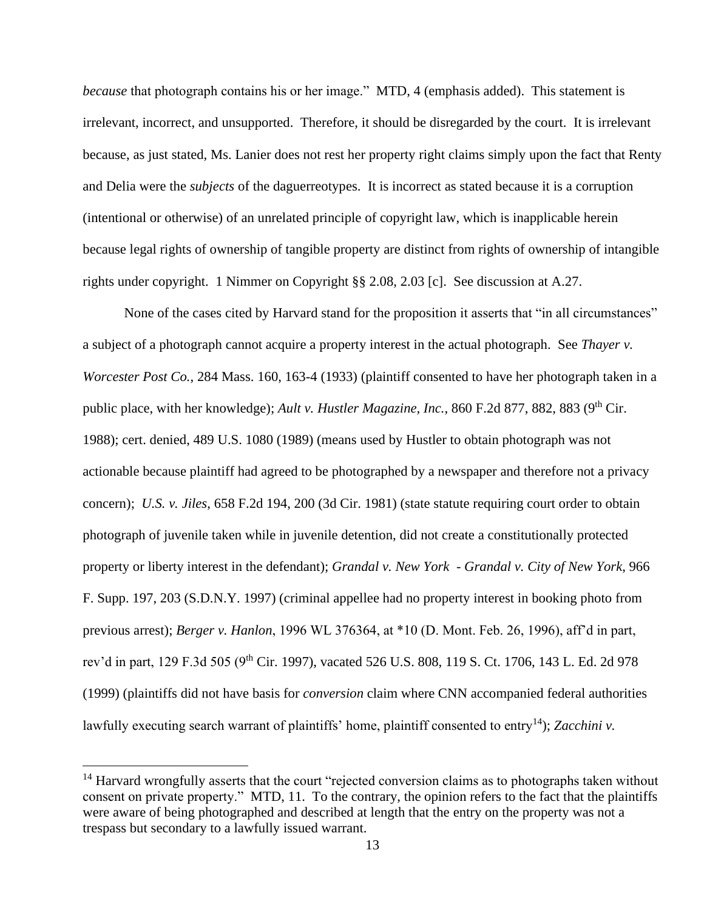*because* that photograph contains his or her image." MTD, 4 (emphasis added). This statement is irrelevant, incorrect, and unsupported. Therefore, it should be disregarded by the court. It is irrelevant because, as just stated, Ms. Lanier does not rest her property right claims simply upon the fact that Renty and Delia were the *subjects* of the daguerreotypes. It is incorrect as stated because it is a corruption (intentional or otherwise) of an unrelated principle of copyright law, which is inapplicable herein because legal rights of ownership of tangible property are distinct from rights of ownership of intangible rights under copyright. 1 Nimmer on Copyright §§ 2.08, 2.03 [c]. See discussion at A.27.

None of the cases cited by Harvard stand for the proposition it asserts that "in all circumstances" a subject of a photograph cannot acquire a property interest in the actual photograph. See *Thayer v. Worcester Post Co.*, 284 Mass. 160, 163-4 (1933) (plaintiff consented to have her photograph taken in a public place, with her knowledge); *Ault v. Hustler Magazine, Inc.*, 860 F.2d 877, 882, 883 (9<sup>th</sup> Cir. 1988); cert. denied, 489 U.S. 1080 (1989) (means used by Hustler to obtain photograph was not actionable because plaintiff had agreed to be photographed by a newspaper and therefore not a privacy concern); *U.S. v. Jiles*, 658 F.2d 194, 200 (3d Cir. 1981) (state statute requiring court order to obtain photograph of juvenile taken while in juvenile detention, did not create a constitutionally protected property or liberty interest in the defendant); *Grandal v. New York* - *Grandal v. City of New York*, 966 F. Supp. 197, 203 (S.D.N.Y. 1997) (criminal appellee had no property interest in booking photo from previous arrest); *Berger v. Hanlon*, 1996 WL 376364, at \*10 (D. Mont. Feb. 26, 1996), aff'd in part, rev'd in part, 129 F.3d 505 (9<sup>th</sup> Cir. 1997), vacated 526 U.S. 808, 119 S. Ct. 1706, 143 L. Ed. 2d 978 (1999) (plaintiffs did not have basis for *conversion* claim where CNN accompanied federal authorities lawfully executing search warrant of plaintiffs' home, plaintiff consented to entry<sup>14</sup>); *Zacchini v.* 

 $14$  Harvard wrongfully asserts that the court "rejected conversion claims as to photographs taken without consent on private property." MTD, 11. To the contrary, the opinion refers to the fact that the plaintiffs were aware of being photographed and described at length that the entry on the property was not a trespass but secondary to a lawfully issued warrant.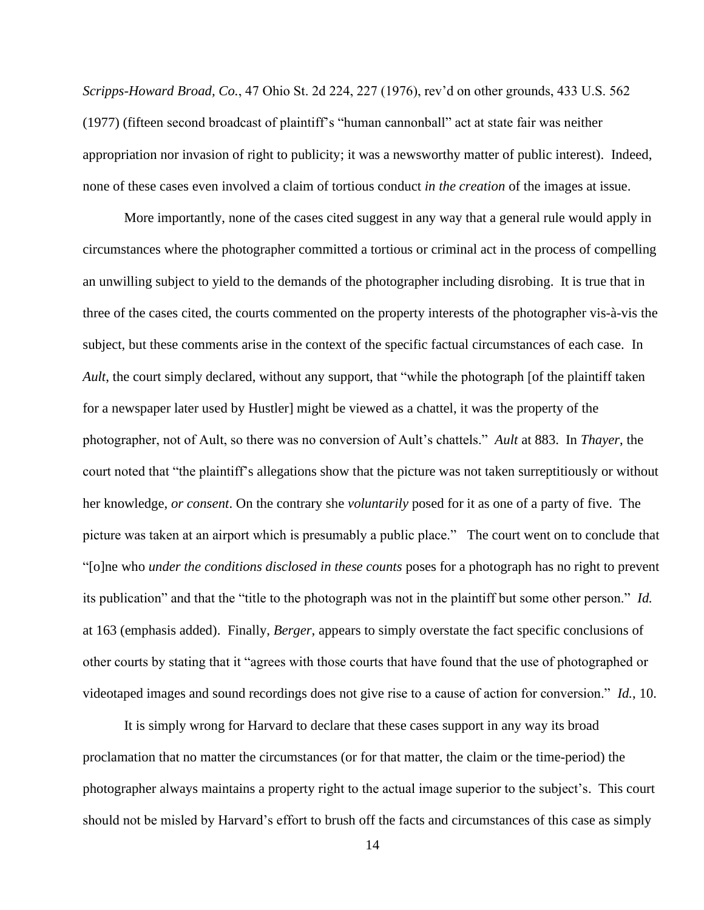*Scripps-Howard Broad, Co.*, 47 Ohio St. 2d 224, 227 (1976), rev'd on other grounds, 433 U.S. 562 (1977) (fifteen second broadcast of plaintiff's "human cannonball" act at state fair was neither appropriation nor invasion of right to publicity; it was a newsworthy matter of public interest). Indeed, none of these cases even involved a claim of tortious conduct *in the creation* of the images at issue.

More importantly, none of the cases cited suggest in any way that a general rule would apply in circumstances where the photographer committed a tortious or criminal act in the process of compelling an unwilling subject to yield to the demands of the photographer including disrobing. It is true that in three of the cases cited, the courts commented on the property interests of the photographer vis-à-vis the subject, but these comments arise in the context of the specific factual circumstances of each case. In *Ault*, the court simply declared, without any support, that "while the photograph [of the plaintiff taken for a newspaper later used by Hustler] might be viewed as a chattel, it was the property of the photographer, not of Ault, so there was no conversion of Ault's chattels." *Ault* at 883. In *Thayer*, the court noted that "the plaintiff's allegations show that the picture was not taken surreptitiously or without her knowledge, *or consent*. On the contrary she *voluntarily* posed for it as one of a party of five. The picture was taken at an airport which is presumably a public place." The court went on to conclude that "[o]ne who *under the conditions disclosed in these counts* poses for a photograph has no right to prevent its publication" and that the "title to the photograph was not in the plaintiff but some other person." *Id.* at 163 (emphasis added). Finally, *Berger*, appears to simply overstate the fact specific conclusions of other courts by stating that it "agrees with those courts that have found that the use of photographed or videotaped images and sound recordings does not give rise to a cause of action for conversion." *Id.*, 10.

It is simply wrong for Harvard to declare that these cases support in any way its broad proclamation that no matter the circumstances (or for that matter, the claim or the time-period) the photographer always maintains a property right to the actual image superior to the subject's. This court should not be misled by Harvard's effort to brush off the facts and circumstances of this case as simply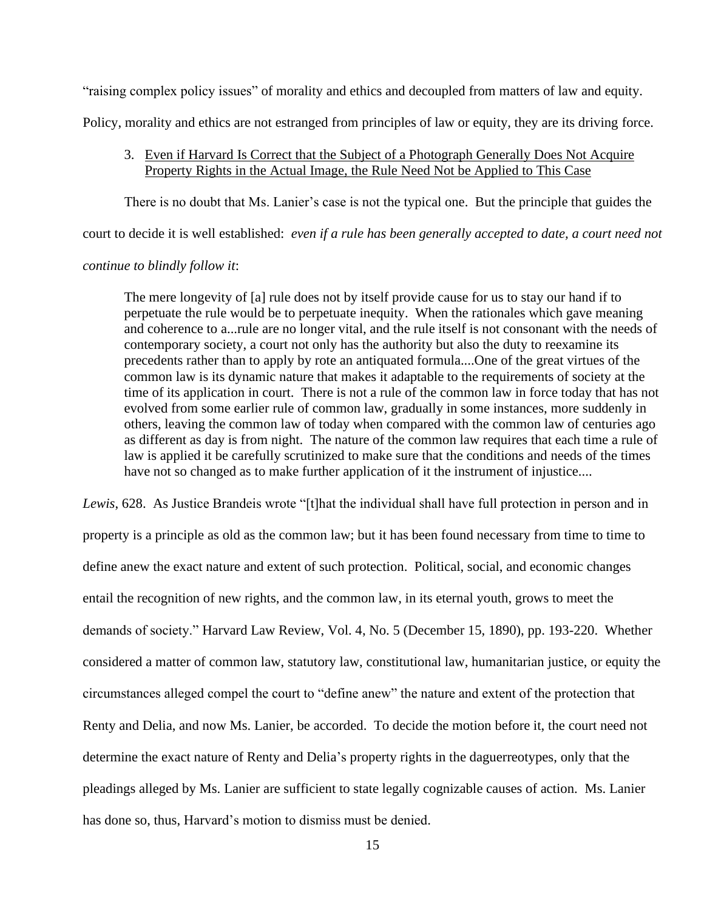"raising complex policy issues" of morality and ethics and decoupled from matters of law and equity.

Policy, morality and ethics are not estranged from principles of law or equity, they are its driving force.

### 3. Even if Harvard Is Correct that the Subject of a Photograph Generally Does Not Acquire Property Rights in the Actual Image, the Rule Need Not be Applied to This Case

There is no doubt that Ms. Lanier's case is not the typical one. But the principle that guides the

court to decide it is well established: *even if a rule has been generally accepted to date, a court need not* 

### *continue to blindly follow it*:

The mere longevity of [a] rule does not by itself provide cause for us to stay our hand if to perpetuate the rule would be to perpetuate inequity. When the rationales which gave meaning and coherence to a...rule are no longer vital, and the rule itself is not consonant with the needs of contemporary society, a court not only has the authority but also the duty to reexamine its precedents rather than to apply by rote an antiquated formula....One of the great virtues of the common law is its dynamic nature that makes it adaptable to the requirements of society at the time of its application in court. There is not a rule of the common law in force today that has not evolved from some earlier rule of common law, gradually in some instances, more suddenly in others, leaving the common law of today when compared with the common law of centuries ago as different as day is from night. The nature of the common law requires that each time a rule of law is applied it be carefully scrutinized to make sure that the conditions and needs of the times have not so changed as to make further application of it the instrument of injustice....

*Lewis*, 628. As Justice Brandeis wrote "[t]hat the individual shall have full protection in person and in property is a principle as old as the common law; but it has been found necessary from time to time to define anew the exact nature and extent of such protection. Political, social, and economic changes entail the recognition of new rights, and the common law, in its eternal youth, grows to meet the demands of society." Harvard Law Review, Vol. 4, No. 5 (December 15, 1890), pp. 193-220. Whether considered a matter of common law, statutory law, constitutional law, humanitarian justice, or equity the circumstances alleged compel the court to "define anew" the nature and extent of the protection that Renty and Delia, and now Ms. Lanier, be accorded. To decide the motion before it, the court need not determine the exact nature of Renty and Delia's property rights in the daguerreotypes, only that the pleadings alleged by Ms. Lanier are sufficient to state legally cognizable causes of action. Ms. Lanier has done so, thus, Harvard's motion to dismiss must be denied.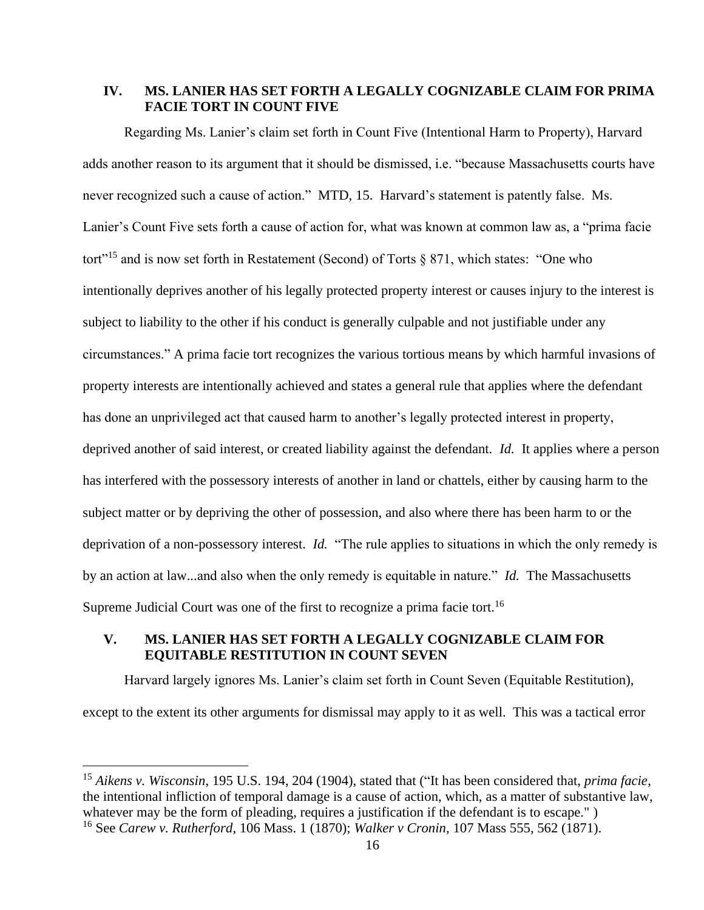### **IV. MS. LANIER HAS SET FORTH A LEGALLY COGNIZABLE CLAIM FOR PRIMA FACIE TORT IN COUNT FIVE**

Regarding Ms. Lanier's claim set forth in Count Five (Intentional Harm to Property), Harvard adds another reason to its argument that it should be dismissed, i.e. "because Massachusetts courts have never recognized such a cause of action." MTD, 15. Harvard's statement is patently false. Ms. Lanier's Count Five sets forth a cause of action for, what was known at common law as, a "prima facie tort"<sup>15</sup> and is now set forth in Restatement (Second) of Torts  $\S 871$ , which states: "One who intentionally deprives another of his legally protected property interest or causes injury to the interest is subject to liability to the other if his conduct is generally culpable and not justifiable under any circumstances." A prima facie tort recognizes the various tortious means by which harmful invasions of property interests are intentionally achieved and states a general rule that applies where the defendant has done an unprivileged act that caused harm to another's legally protected interest in property, deprived another of said interest, or created liability against the defendant. *Id.* It applies where a person has interfered with the possessory interests of another in land or chattels, either by causing harm to the subject matter or by depriving the other of possession, and also where there has been harm to or the deprivation of a non-possessory interest. *Id.* "The rule applies to situations in which the only remedy is by an action at law...and also when the only remedy is equitable in nature." *Id.* The Massachusetts Supreme Judicial Court was one of the first to recognize a prima facie tort.<sup>16</sup>

# **V. MS. LANIER HAS SET FORTH A LEGALLY COGNIZABLE CLAIM FOR EQUITABLE RESTITUTION IN COUNT SEVEN**

Harvard largely ignores Ms. Lanier's claim set forth in Count Seven (Equitable Restitution),

except to the extent its other arguments for dismissal may apply to it as well. This was a tactical error

<sup>15</sup> *Aikens v. Wisconsin*, 195 U.S. 194, 204 (1904), stated that ("It has been considered that, *prima facie*, the intentional infliction of temporal damage is a cause of action, which, as a matter of substantive law, whatever may be the form of pleading, requires a justification if the defendant is to escape.") <sup>16</sup> See *Carew v. Rutherford*, 106 Mass. 1 (1870); *Walker v Cronin,* 107 Mass 555, 562 (1871).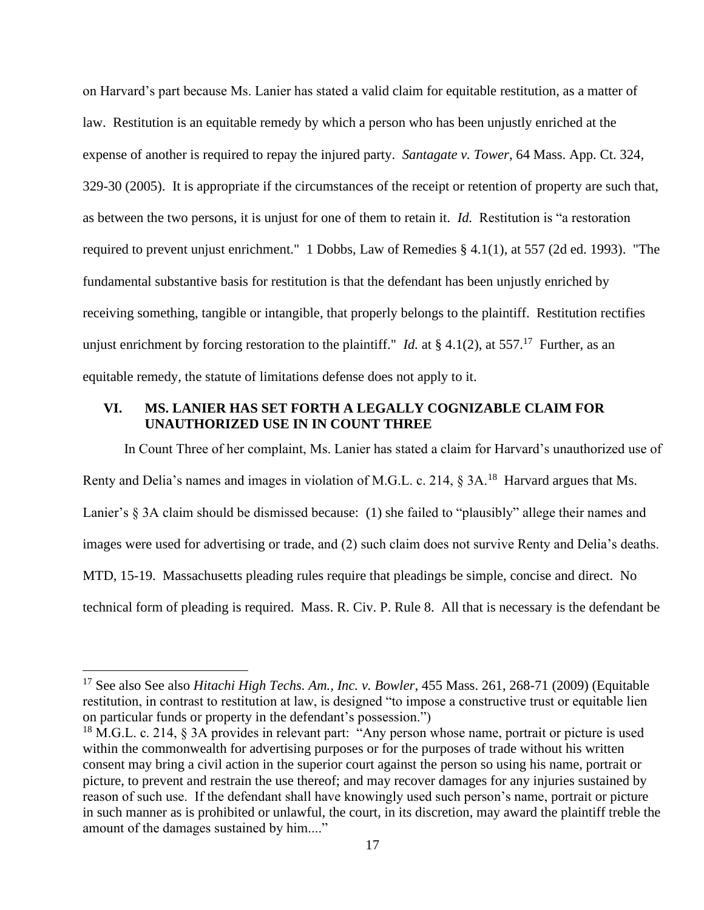on Harvard's part because Ms. Lanier has stated a valid claim for equitable restitution, as a matter of law. Restitution is an equitable remedy by which a person who has been unjustly enriched at the expense of another is required to repay the injured party. *Santagate v. Tower*, 64 Mass. App. Ct. 324, 329-30 (2005). It is appropriate if the circumstances of the receipt or retention of property are such that, as between the two persons, it is unjust for one of them to retain it. *Id.* Restitution is "a restoration required to prevent unjust enrichment." 1 Dobbs, Law of Remedies § 4.1(1), at 557 (2d ed. 1993). "The fundamental substantive basis for restitution is that the defendant has been unjustly enriched by receiving something, tangible or intangible, that properly belongs to the plaintiff. Restitution rectifies unjust enrichment by forcing restoration to the plaintiff." *Id.* at  $\S 4.1(2)$ , at 557.<sup>17</sup> Further, as an equitable remedy, the statute of limitations defense does not apply to it.

# **VI. MS. LANIER HAS SET FORTH A LEGALLY COGNIZABLE CLAIM FOR UNAUTHORIZED USE IN IN COUNT THREE**

In Count Three of her complaint, Ms. Lanier has stated a claim for Harvard's unauthorized use of Renty and Delia's names and images in violation of M.G.L. c. 214,  $\S 3A$ .<sup>18</sup> Harvard argues that Ms. Lanier's § 3A claim should be dismissed because: (1) she failed to "plausibly" allege their names and images were used for advertising or trade, and (2) such claim does not survive Renty and Delia's deaths. MTD, 15-19. Massachusetts pleading rules require that pleadings be simple, concise and direct. No technical form of pleading is required. Mass. R. Civ. P. Rule 8. All that is necessary is the defendant be

<sup>17</sup> See also See also *Hitachi High Techs. Am., Inc. v. Bowler*, 455 Mass. 261, 268-71 (2009) (Equitable restitution, in contrast to restitution at law, is designed "to impose a constructive trust or equitable lien on particular funds or property in the defendant's possession.")

 $18$  M.G.L. c. 214, § 3A provides in relevant part: "Any person whose name, portrait or picture is used within the commonwealth for advertising purposes or for the purposes of trade without his written consent may bring a civil action in the superior court against the person so using his name, portrait or picture, to prevent and restrain the use thereof; and may recover damages for any injuries sustained by reason of such use. If the defendant shall have knowingly used such person's name, portrait or picture in such manner as is prohibited or unlawful, the court, in its discretion, may award the plaintiff treble the amount of the damages sustained by him...."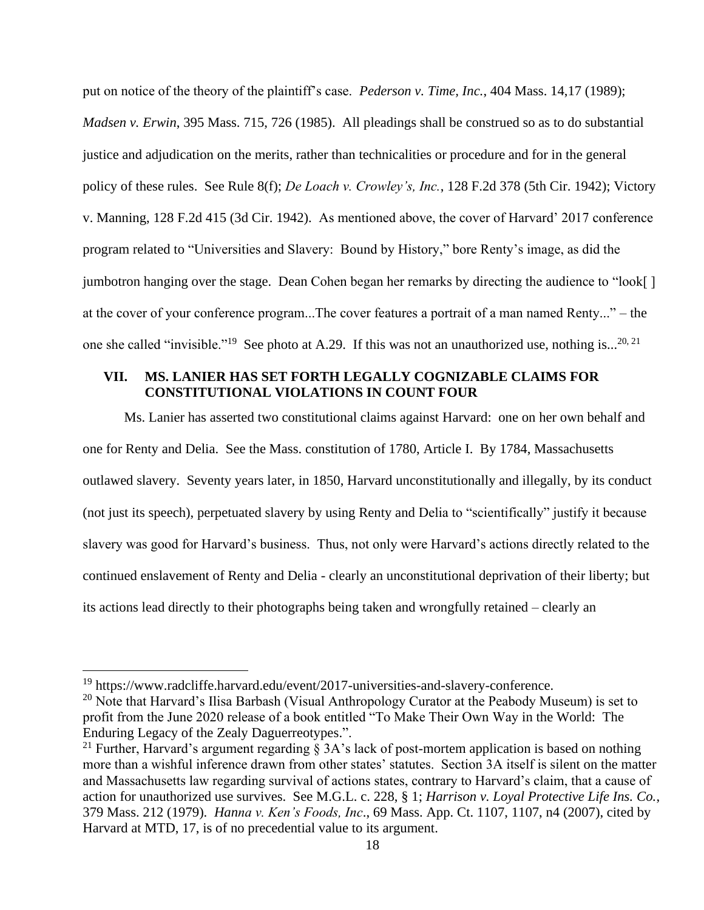put on notice of the theory of the plaintiff's case. *Pederson v. Time, Inc.*, 404 Mass. 14,17 (1989); *Madsen v. Erwin*, 395 Mass. 715, 726 (1985). All pleadings shall be construed so as to do substantial justice and adjudication on the merits, rather than technicalities or procedure and for in the general policy of these rules. See Rule 8(f); *De Loach v. Crowley's, Inc.*, 128 F.2d 378 (5th Cir. 1942); Victory v. Manning, 128 F.2d 415 (3d Cir. 1942). As mentioned above, the cover of Harvard' 2017 conference program related to "Universities and Slavery: Bound by History," bore Renty's image, as did the jumbotron hanging over the stage. Dean Cohen began her remarks by directing the audience to "look[ ] at the cover of your conference program...The cover features a portrait of a man named Renty..." – the one she called "invisible."<sup>19</sup> See photo at A.29. If this was not an unauthorized use, nothing is...<sup>20, 21</sup>

# **VII. MS. LANIER HAS SET FORTH LEGALLY COGNIZABLE CLAIMS FOR CONSTITUTIONAL VIOLATIONS IN COUNT FOUR**

Ms. Lanier has asserted two constitutional claims against Harvard: one on her own behalf and one for Renty and Delia. See the Mass. constitution of 1780, Article I. By 1784, Massachusetts outlawed slavery. Seventy years later, in 1850, Harvard unconstitutionally and illegally, by its conduct (not just its speech), perpetuated slavery by using Renty and Delia to "scientifically" justify it because slavery was good for Harvard's business. Thus, not only were Harvard's actions directly related to the continued enslavement of Renty and Delia - clearly an unconstitutional deprivation of their liberty; but its actions lead directly to their photographs being taken and wrongfully retained – clearly an

<sup>&</sup>lt;sup>19</sup> https://www.radcliffe.harvard.edu/event/2017-universities-and-slavery-conference.

<sup>&</sup>lt;sup>20</sup> Note that Harvard's Ilisa Barbash (Visual Anthropology Curator at the Peabody Museum) is set to profit from the June 2020 release of a book entitled "To Make Their Own Way in the World: The Enduring Legacy of the Zealy Daguerreotypes.".

<sup>&</sup>lt;sup>21</sup> Further, Harvard's argument regarding § 3A's lack of post-mortem application is based on nothing more than a wishful inference drawn from other states' statutes. Section 3A itself is silent on the matter and Massachusetts law regarding survival of actions states, contrary to Harvard's claim, that a cause of action for unauthorized use survives. See M.G.L. c. 228, § 1; *Harrison v. Loyal Protective Life Ins. Co.*, 379 Mass. 212 (1979). *Hanna v. Ken's Foods, Inc*., 69 Mass. App. Ct. 1107, 1107, n4 (2007), cited by Harvard at MTD, 17, is of no precedential value to its argument.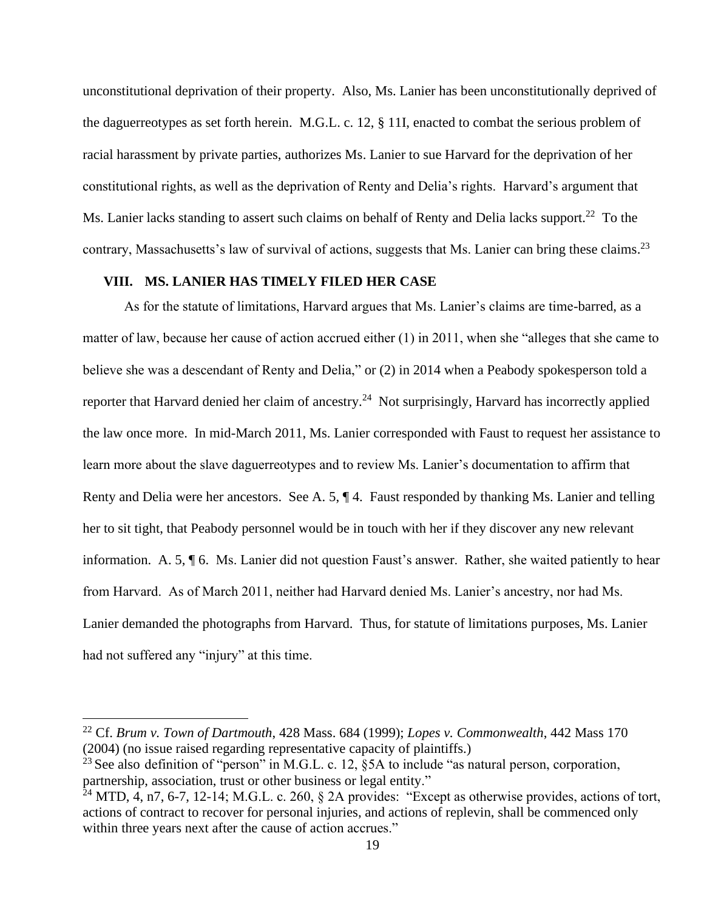unconstitutional deprivation of their property. Also, Ms. Lanier has been unconstitutionally deprived of the daguerreotypes as set forth herein. M.G.L. c. 12, § 11I, enacted to combat the serious problem of racial harassment by private parties, authorizes Ms. Lanier to sue Harvard for the deprivation of her constitutional rights, as well as the deprivation of Renty and Delia's rights. Harvard's argument that Ms. Lanier lacks standing to assert such claims on behalf of Renty and Delia lacks support.<sup>22</sup> To the contrary, Massachusetts's law of survival of actions, suggests that Ms. Lanier can bring these claims.<sup>23</sup>

### **VIII. MS. LANIER HAS TIMELY FILED HER CASE**

As for the statute of limitations, Harvard argues that Ms. Lanier's claims are time-barred, as a matter of law, because her cause of action accrued either (1) in 2011, when she "alleges that she came to believe she was a descendant of Renty and Delia," or (2) in 2014 when a Peabody spokesperson told a reporter that Harvard denied her claim of ancestry.<sup>24</sup> Not surprisingly, Harvard has incorrectly applied the law once more. In mid-March 2011, Ms. Lanier corresponded with Faust to request her assistance to learn more about the slave daguerreotypes and to review Ms. Lanier's documentation to affirm that Renty and Delia were her ancestors. See A. 5, ¶ 4. Faust responded by thanking Ms. Lanier and telling her to sit tight, that Peabody personnel would be in touch with her if they discover any new relevant information. A. 5, ¶ 6. Ms. Lanier did not question Faust's answer. Rather, she waited patiently to hear from Harvard. As of March 2011, neither had Harvard denied Ms. Lanier's ancestry, nor had Ms. Lanier demanded the photographs from Harvard. Thus, for statute of limitations purposes, Ms. Lanier had not suffered any "injury" at this time.

<sup>22</sup> Cf. *Brum v. Town of Dartmouth*, 428 Mass. 684 (1999); *Lopes v. Commonwealth*, 442 Mass 170 (2004) (no issue raised regarding representative capacity of plaintiffs.)

<sup>&</sup>lt;sup>23</sup> See also definition of "person" in M.G.L. c. 12,  $\S$ 5A to include "as natural person, corporation, partnership, association, trust or other business or legal entity."

 $24$  MTD, 4, n7, 6-7, 12-14; M.G.L. c. 260, § 2A provides: "Except as otherwise provides, actions of tort, actions of contract to recover for personal injuries, and actions of replevin, shall be commenced only within three years next after the cause of action accrues."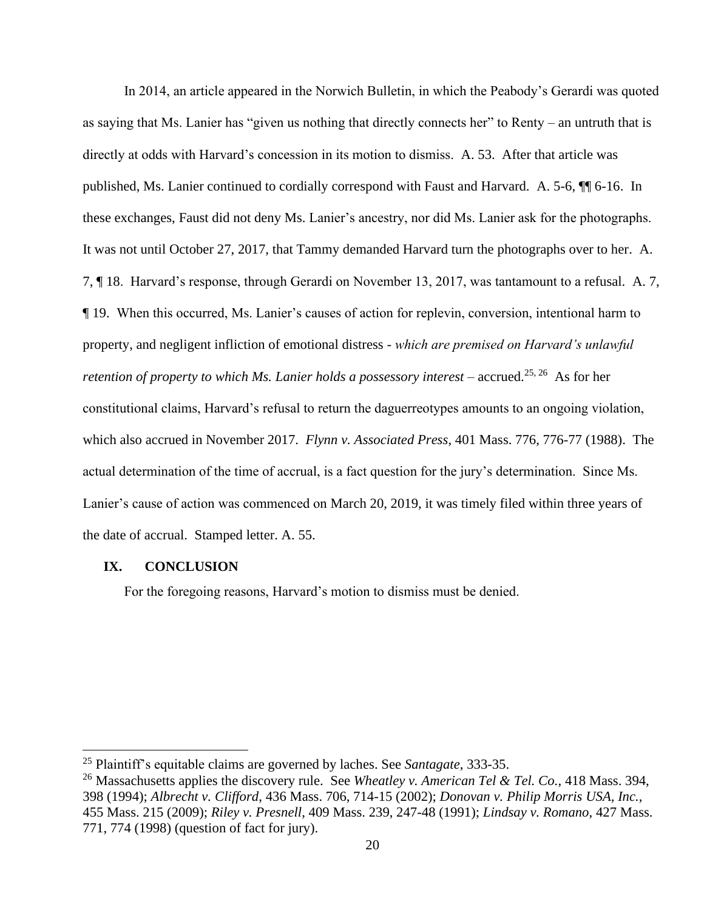In 2014, an article appeared in the Norwich Bulletin, in which the Peabody's Gerardi was quoted as saying that Ms. Lanier has "given us nothing that directly connects her" to Renty – an untruth that is directly at odds with Harvard's concession in its motion to dismiss. A. 53. After that article was published, Ms. Lanier continued to cordially correspond with Faust and Harvard. A. 5-6, ¶¶ 6-16. In these exchanges, Faust did not deny Ms. Lanier's ancestry, nor did Ms. Lanier ask for the photographs. It was not until October 27, 2017, that Tammy demanded Harvard turn the photographs over to her. A. 7, ¶ 18. Harvard's response, through Gerardi on November 13, 2017, was tantamount to a refusal. A. 7, ¶ 19. When this occurred, Ms. Lanier's causes of action for replevin, conversion, intentional harm to property, and negligent infliction of emotional distress - *which are premised on Harvard's unlawful*  retention of property to which Ms. Lanier holds a possessory interest – accrued.<sup>25, 26</sup> As for her constitutional claims, Harvard's refusal to return the daguerreotypes amounts to an ongoing violation, which also accrued in November 2017. *Flynn v. Associated Press*, 401 Mass. 776, 776-77 (1988). The actual determination of the time of accrual, is a fact question for the jury's determination. Since Ms. Lanier's cause of action was commenced on March 20, 2019, it was timely filed within three years of the date of accrual. Stamped letter. A. 55.

### **IX. CONCLUSION**

For the foregoing reasons, Harvard's motion to dismiss must be denied.

<sup>25</sup> Plaintiff's equitable claims are governed by laches. See *Santagate*, 333-35.

<sup>26</sup> Massachusetts applies the discovery rule. See *Wheatley v. American Tel & Tel. Co.*, 418 Mass. 394, 398 (1994); *Albrecht v. Clifford*, 436 Mass. 706, 714-15 (2002); *Donovan v. Philip Morris USA, Inc.*, 455 Mass. 215 (2009); *Riley v. Presnell*, 409 Mass. 239, 247-48 (1991); *Lindsay v. Romano*, 427 Mass. 771, 774 (1998) (question of fact for jury).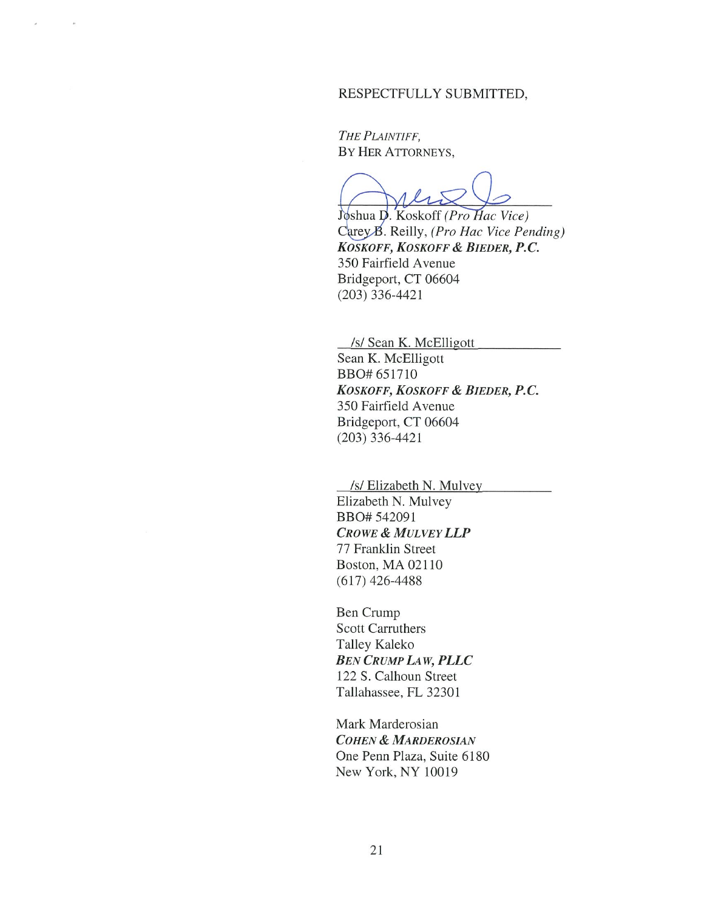#### RESPECTFULLY SUBMITTED,

THE PLAINTIFF, BY HER ATTORNEYS,

Joshua D. Koskoff (Pro Hac Vice) Carey B. Reilly, (Pro Hac Vice Pending) KOSKOFF, KOSKOFF & BIEDER, P.C. 350 Fairfield Avenue Bridgeport, CT 06604  $(203)$  336-4421

/s/ Sean K. McElligott

Sean K. McElligott BBO# 651710 KOSKOFF, KOSKOFF & BIEDER, P.C. 350 Fairfield Avenue Bridgeport, CT 06604  $(203)$  336-4421

/s/ Elizabeth N. Mulvey Elizabeth N. Mulvey BBO# 542091 **CROWE & MULVEY LLP** 77 Franklin Street Boston, MA 02110  $(617)$  426-4488

Ben Crump **Scott Carruthers** Talley Kaleko **BEN CRUMP LAW, PLLC** 122 S. Calhoun Street Tallahassee, FL 32301

Mark Marderosian **COHEN & MARDEROSIAN** One Penn Plaza, Suite 6180 New York, NY 10019